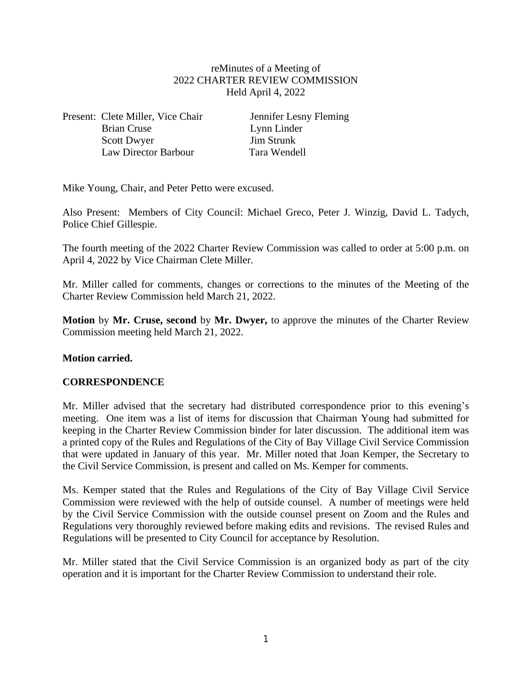# reMinutes of a Meeting of 2022 CHARTER REVIEW COMMISSION Held April 4, 2022

Present: Clete Miller, Vice Chair Jennifer Lesny Fleming Brian Cruse Lynn Linder<br>
Scott Dwyer Jim Strunk Scott Dwyer Law Director Barbour Tara Wendell

Mike Young, Chair, and Peter Petto were excused.

Also Present: Members of City Council: Michael Greco, Peter J. Winzig, David L. Tadych, Police Chief Gillespie.

The fourth meeting of the 2022 Charter Review Commission was called to order at 5:00 p.m. on April 4, 2022 by Vice Chairman Clete Miller.

Mr. Miller called for comments, changes or corrections to the minutes of the Meeting of the Charter Review Commission held March 21, 2022.

**Motion** by **Mr. Cruse, second** by **Mr. Dwyer,** to approve the minutes of the Charter Review Commission meeting held March 21, 2022.

# **Motion carried.**

# **CORRESPONDENCE**

Mr. Miller advised that the secretary had distributed correspondence prior to this evening's meeting. One item was a list of items for discussion that Chairman Young had submitted for keeping in the Charter Review Commission binder for later discussion. The additional item was a printed copy of the Rules and Regulations of the City of Bay Village Civil Service Commission that were updated in January of this year. Mr. Miller noted that Joan Kemper, the Secretary to the Civil Service Commission, is present and called on Ms. Kemper for comments.

Ms. Kemper stated that the Rules and Regulations of the City of Bay Village Civil Service Commission were reviewed with the help of outside counsel. A number of meetings were held by the Civil Service Commission with the outside counsel present on Zoom and the Rules and Regulations very thoroughly reviewed before making edits and revisions. The revised Rules and Regulations will be presented to City Council for acceptance by Resolution.

Mr. Miller stated that the Civil Service Commission is an organized body as part of the city operation and it is important for the Charter Review Commission to understand their role.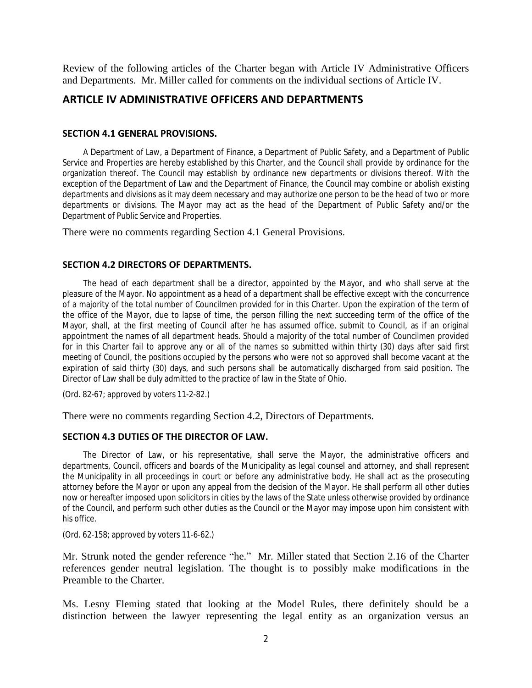Review of the following articles of the Charter began with Article IV Administrative Officers and Departments. Mr. Miller called for comments on the individual sections of Article IV.

# **ARTICLE IV ADMINISTRATIVE OFFICERS AND DEPARTMENTS**

## **SECTION 4.1 GENERAL PROVISIONS.**

A Department of Law, a Department of Finance, a Department of Public Safety, and a Department of Public Service and Properties are hereby established by this Charter, and the Council shall provide by ordinance for the organization thereof. The Council may establish by ordinance new departments or divisions thereof. With the exception of the Department of Law and the Department of Finance, the Council may combine or abolish existing departments and divisions as it may deem necessary and may authorize one person to be the head of two or more departments or divisions. The Mayor may act as the head of the Department of Public Safety and/or the Department of Public Service and Properties.

There were no comments regarding Section 4.1 General Provisions.

## **SECTION 4.2 DIRECTORS OF DEPARTMENTS.**

The head of each department shall be a director, appointed by the Mayor, and who shall serve at the pleasure of the Mayor. No appointment as a head of a department shall be effective except with the concurrence of a majority of the total number of Councilmen provided for in this Charter. Upon the expiration of the term of the office of the Mayor, due to lapse of time, the person filling the next succeeding term of the office of the Mayor, shall, at the first meeting of Council after he has assumed office, submit to Council, as if an original appointment the names of all department heads. Should a majority of the total number of Councilmen provided for in this Charter fail to approve any or all of the names so submitted within thirty (30) days after said first meeting of Council, the positions occupied by the persons who were not so approved shall become vacant at the expiration of said thirty (30) days, and such persons shall be automatically discharged from said position. The Director of Law shall be duly admitted to the practice of law in the State of Ohio.

(Ord. 82-67; approved by voters 11-2-82.)

There were no comments regarding Section 4.2, Directors of Departments.

# **SECTION 4.3 DUTIES OF THE DIRECTOR OF LAW.**

The Director of Law, or his representative, shall serve the Mayor, the administrative officers and departments, Council, officers and boards of the Municipality as legal counsel and attorney, and shall represent the Municipality in all proceedings in court or before any administrative body. He shall act as the prosecuting attorney before the Mayor or upon any appeal from the decision of the Mayor. He shall perform all other duties now or hereafter imposed upon solicitors in cities by the laws of the State unless otherwise provided by ordinance of the Council, and perform such other duties as the Council or the Mayor may impose upon him consistent with his office.

(Ord. 62-158; approved by voters 11-6-62.)

Mr. Strunk noted the gender reference "he." Mr. Miller stated that Section 2.16 of the Charter references gender neutral legislation. The thought is to possibly make modifications in the Preamble to the Charter.

Ms. Lesny Fleming stated that looking at the Model Rules, there definitely should be a distinction between the lawyer representing the legal entity as an organization versus an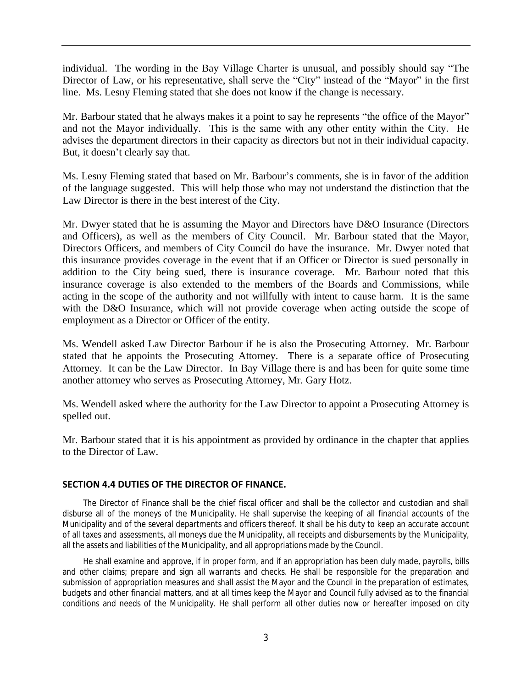individual. The wording in the Bay Village Charter is unusual, and possibly should say "The Director of Law, or his representative, shall serve the "City" instead of the "Mayor" in the first line. Ms. Lesny Fleming stated that she does not know if the change is necessary.

Mr. Barbour stated that he always makes it a point to say he represents "the office of the Mayor" and not the Mayor individually. This is the same with any other entity within the City. He advises the department directors in their capacity as directors but not in their individual capacity. But, it doesn't clearly say that.

Ms. Lesny Fleming stated that based on Mr. Barbour's comments, she is in favor of the addition of the language suggested. This will help those who may not understand the distinction that the Law Director is there in the best interest of the City.

Mr. Dwyer stated that he is assuming the Mayor and Directors have D&O Insurance (Directors and Officers), as well as the members of City Council. Mr. Barbour stated that the Mayor, Directors Officers, and members of City Council do have the insurance. Mr. Dwyer noted that this insurance provides coverage in the event that if an Officer or Director is sued personally in addition to the City being sued, there is insurance coverage. Mr. Barbour noted that this insurance coverage is also extended to the members of the Boards and Commissions, while acting in the scope of the authority and not willfully with intent to cause harm. It is the same with the D&O Insurance, which will not provide coverage when acting outside the scope of employment as a Director or Officer of the entity.

Ms. Wendell asked Law Director Barbour if he is also the Prosecuting Attorney. Mr. Barbour stated that he appoints the Prosecuting Attorney. There is a separate office of Prosecuting Attorney. It can be the Law Director. In Bay Village there is and has been for quite some time another attorney who serves as Prosecuting Attorney, Mr. Gary Hotz.

Ms. Wendell asked where the authority for the Law Director to appoint a Prosecuting Attorney is spelled out.

Mr. Barbour stated that it is his appointment as provided by ordinance in the chapter that applies to the Director of Law.

## **SECTION 4.4 DUTIES OF THE DIRECTOR OF FINANCE.**

The Director of Finance shall be the chief fiscal officer and shall be the collector and custodian and shall disburse all of the moneys of the Municipality. He shall supervise the keeping of all financial accounts of the Municipality and of the several departments and officers thereof. It shall be his duty to keep an accurate account of all taxes and assessments, all moneys due the Municipality, all receipts and disbursements by the Municipality, all the assets and liabilities of the Municipality, and all appropriations made by the Council.

He shall examine and approve, if in proper form, and if an appropriation has been duly made, payrolls, bills and other claims; prepare and sign all warrants and checks. He shall be responsible for the preparation and submission of appropriation measures and shall assist the Mayor and the Council in the preparation of estimates, budgets and other financial matters, and at all times keep the Mayor and Council fully advised as to the financial conditions and needs of the Municipality. He shall perform all other duties now or hereafter imposed on city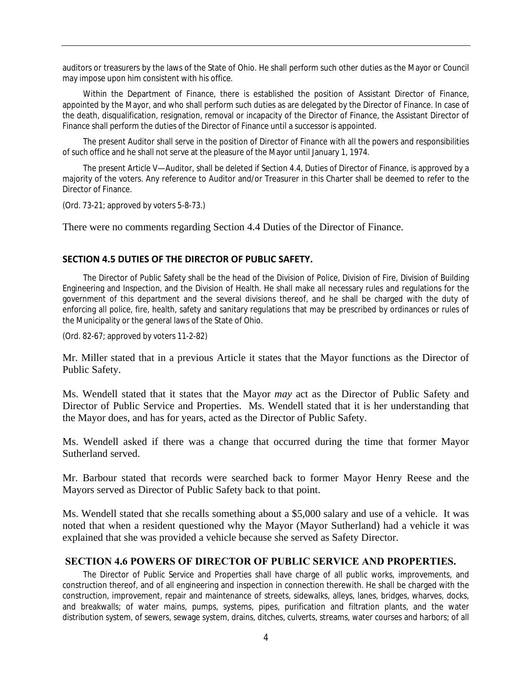auditors or treasurers by the laws of the State of Ohio. He shall perform such other duties as the Mayor or Council may impose upon him consistent with his office.

Within the Department of Finance, there is established the position of Assistant Director of Finance, appointed by the Mayor, and who shall perform such duties as are delegated by the Director of Finance. In case of the death, disqualification, resignation, removal or incapacity of the Director of Finance, the Assistant Director of Finance shall perform the duties of the Director of Finance until a successor is appointed.

The present Auditor shall serve in the position of Director of Finance with all the powers and responsibilities of such office and he shall not serve at the pleasure of the Mayor until January 1, 1974.

The present Article V—Auditor, shall be deleted if Section 4.4, Duties of Director of Finance, is approved by a majority of the voters. Any reference to Auditor and/or Treasurer in this Charter shall be deemed to refer to the Director of Finance.

(Ord. 73-21; approved by voters 5-8-73.)

There were no comments regarding Section 4.4 Duties of the Director of Finance.

#### **SECTION 4.5 DUTIES OF THE DIRECTOR OF PUBLIC SAFETY.**

The Director of Public Safety shall be the head of the Division of Police, Division of Fire, Division of Building Engineering and Inspection, and the Division of Health. He shall make all necessary rules and regulations for the government of this department and the several divisions thereof, and he shall be charged with the duty of enforcing all police, fire, health, safety and sanitary regulations that may be prescribed by ordinances or rules of the Municipality or the general laws of the State of Ohio.

(Ord. 82-67; approved by voters 11-2-82)

Mr. Miller stated that in a previous Article it states that the Mayor functions as the Director of Public Safety.

Ms. Wendell stated that it states that the Mayor *may* act as the Director of Public Safety and Director of Public Service and Properties. Ms. Wendell stated that it is her understanding that the Mayor does, and has for years, acted as the Director of Public Safety.

Ms. Wendell asked if there was a change that occurred during the time that former Mayor Sutherland served.

Mr. Barbour stated that records were searched back to former Mayor Henry Reese and the Mayors served as Director of Public Safety back to that point.

Ms. Wendell stated that she recalls something about a \$5,000 salary and use of a vehicle. It was noted that when a resident questioned why the Mayor (Mayor Sutherland) had a vehicle it was explained that she was provided a vehicle because she served as Safety Director.

#### **SECTION 4.6 POWERS OF DIRECTOR OF PUBLIC SERVICE AND PROPERTIES.**

The Director of Public Service and Properties shall have charge of all public works, improvements, and construction thereof, and of all engineering and inspection in connection therewith. He shall be charged with the construction, improvement, repair and maintenance of streets, sidewalks, alleys, lanes, bridges, wharves, docks, and breakwalls; of water mains, pumps, systems, pipes, purification and filtration plants, and the water distribution system, of sewers, sewage system, drains, ditches, culverts, streams, water courses and harbors; of all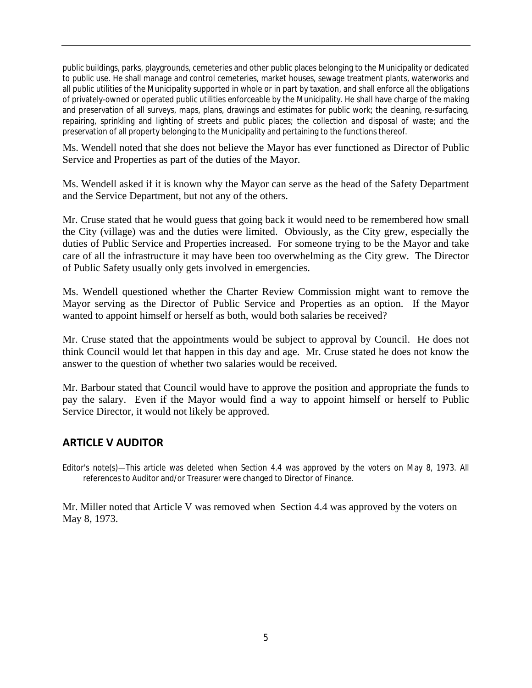public buildings, parks, playgrounds, cemeteries and other public places belonging to the Municipality or dedicated to public use. He shall manage and control cemeteries, market houses, sewage treatment plants, waterworks and all public utilities of the Municipality supported in whole or in part by taxation, and shall enforce all the obligations of privately-owned or operated public utilities enforceable by the Municipality. He shall have charge of the making and preservation of all surveys, maps, plans, drawings and estimates for public work; the cleaning, re-surfacing, repairing, sprinkling and lighting of streets and public places; the collection and disposal of waste; and the preservation of all property belonging to the Municipality and pertaining to the functions thereof.

Ms. Wendell noted that she does not believe the Mayor has ever functioned as Director of Public Service and Properties as part of the duties of the Mayor.

Ms. Wendell asked if it is known why the Mayor can serve as the head of the Safety Department and the Service Department, but not any of the others.

Mr. Cruse stated that he would guess that going back it would need to be remembered how small the City (village) was and the duties were limited. Obviously, as the City grew, especially the duties of Public Service and Properties increased. For someone trying to be the Mayor and take care of all the infrastructure it may have been too overwhelming as the City grew. The Director of Public Safety usually only gets involved in emergencies.

Ms. Wendell questioned whether the Charter Review Commission might want to remove the Mayor serving as the Director of Public Service and Properties as an option. If the Mayor wanted to appoint himself or herself as both, would both salaries be received?

Mr. Cruse stated that the appointments would be subject to approval by Council. He does not think Council would let that happen in this day and age. Mr. Cruse stated he does not know the answer to the question of whether two salaries would be received.

Mr. Barbour stated that Council would have to approve the position and appropriate the funds to pay the salary. Even if the Mayor would find a way to appoint himself or herself to Public Service Director, it would not likely be approved.

# **ARTICLE V AUDITOR**

Editor's note(s)—This article was deleted when Section 4.4 was approved by the voters on May 8, 1973. All references to Auditor and/or Treasurer were changed to Director of Finance.

Mr. Miller noted that Article V was removed when Section 4.4 was approved by the voters on May 8, 1973.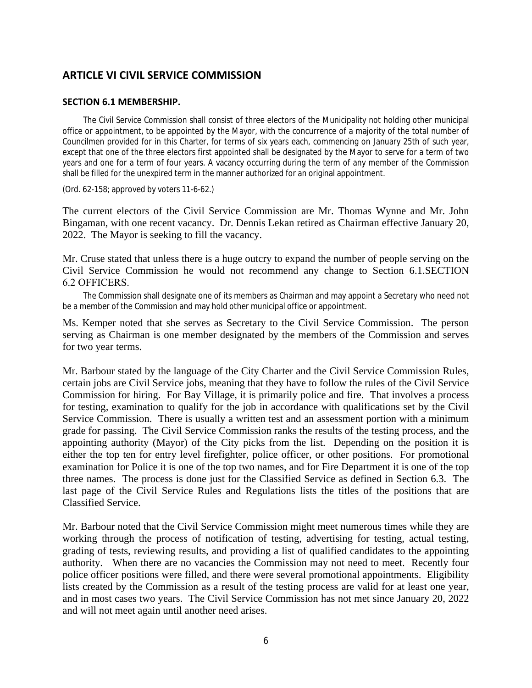# **ARTICLE VI CIVIL SERVICE COMMISSION**

#### **SECTION 6.1 MEMBERSHIP.**

The Civil Service Commission shall consist of three electors of the Municipality not holding other municipal office or appointment, to be appointed by the Mayor, with the concurrence of a majority of the total number of Councilmen provided for in this Charter, for terms of six years each, commencing on January 25th of such year, except that one of the three electors first appointed shall be designated by the Mayor to serve for a term of two years and one for a term of four years. A vacancy occurring during the term of any member of the Commission shall be filled for the unexpired term in the manner authorized for an original appointment.

(Ord. 62-158; approved by voters 11-6-62.)

The current electors of the Civil Service Commission are Mr. Thomas Wynne and Mr. John Bingaman, with one recent vacancy. Dr. Dennis Lekan retired as Chairman effective January 20, 2022. The Mayor is seeking to fill the vacancy.

Mr. Cruse stated that unless there is a huge outcry to expand the number of people serving on the Civil Service Commission he would not recommend any change to Section 6.1.SECTION 6.2 OFFICERS.

The Commission shall designate one of its members as Chairman and may appoint a Secretary who need not be a member of the Commission and may hold other municipal office or appointment.

Ms. Kemper noted that she serves as Secretary to the Civil Service Commission. The person serving as Chairman is one member designated by the members of the Commission and serves for two year terms.

Mr. Barbour stated by the language of the City Charter and the Civil Service Commission Rules, certain jobs are Civil Service jobs, meaning that they have to follow the rules of the Civil Service Commission for hiring. For Bay Village, it is primarily police and fire. That involves a process for testing, examination to qualify for the job in accordance with qualifications set by the Civil Service Commission. There is usually a written test and an assessment portion with a minimum grade for passing. The Civil Service Commission ranks the results of the testing process, and the appointing authority (Mayor) of the City picks from the list. Depending on the position it is either the top ten for entry level firefighter, police officer, or other positions. For promotional examination for Police it is one of the top two names, and for Fire Department it is one of the top three names. The process is done just for the Classified Service as defined in Section 6.3. The last page of the Civil Service Rules and Regulations lists the titles of the positions that are Classified Service.

Mr. Barbour noted that the Civil Service Commission might meet numerous times while they are working through the process of notification of testing, advertising for testing, actual testing, grading of tests, reviewing results, and providing a list of qualified candidates to the appointing authority. When there are no vacancies the Commission may not need to meet. Recently four police officer positions were filled, and there were several promotional appointments. Eligibility lists created by the Commission as a result of the testing process are valid for at least one year, and in most cases two years. The Civil Service Commission has not met since January 20, 2022 and will not meet again until another need arises.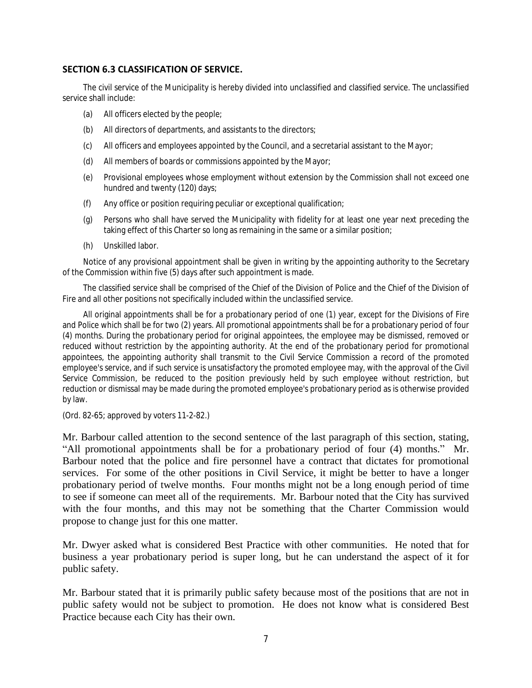## **SECTION 6.3 CLASSIFICATION OF SERVICE.**

The civil service of the Municipality is hereby divided into unclassified and classified service. The unclassified service shall include:

- (a) All officers elected by the people;
- (b) All directors of departments, and assistants to the directors;
- (c) All officers and employees appointed by the Council, and a secretarial assistant to the Mayor;
- (d) All members of boards or commissions appointed by the Mayor;
- (e) Provisional employees whose employment without extension by the Commission shall not exceed one hundred and twenty (120) days;
- (f) Any office or position requiring peculiar or exceptional qualification;
- (g) Persons who shall have served the Municipality with fidelity for at least one year next preceding the taking effect of this Charter so long as remaining in the same or a similar position;
- (h) Unskilled labor.

Notice of any provisional appointment shall be given in writing by the appointing authority to the Secretary of the Commission within five (5) days after such appointment is made.

The classified service shall be comprised of the Chief of the Division of Police and the Chief of the Division of Fire and all other positions not specifically included within the unclassified service.

All original appointments shall be for a probationary period of one (1) year, except for the Divisions of Fire and Police which shall be for two (2) years. All promotional appointments shall be for a probationary period of four (4) months. During the probationary period for original appointees, the employee may be dismissed, removed or reduced without restriction by the appointing authority. At the end of the probationary period for promotional appointees, the appointing authority shall transmit to the Civil Service Commission a record of the promoted employee's service, and if such service is unsatisfactory the promoted employee may, with the approval of the Civil Service Commission, be reduced to the position previously held by such employee without restriction, but reduction or dismissal may be made during the promoted employee's probationary period as is otherwise provided by law.

(Ord. 82-65; approved by voters 11-2-82.)

Mr. Barbour called attention to the second sentence of the last paragraph of this section, stating, "All promotional appointments shall be for a probationary period of four (4) months." Mr. Barbour noted that the police and fire personnel have a contract that dictates for promotional services. For some of the other positions in Civil Service, it might be better to have a longer probationary period of twelve months. Four months might not be a long enough period of time to see if someone can meet all of the requirements. Mr. Barbour noted that the City has survived with the four months, and this may not be something that the Charter Commission would propose to change just for this one matter.

Mr. Dwyer asked what is considered Best Practice with other communities. He noted that for business a year probationary period is super long, but he can understand the aspect of it for public safety.

Mr. Barbour stated that it is primarily public safety because most of the positions that are not in public safety would not be subject to promotion. He does not know what is considered Best Practice because each City has their own.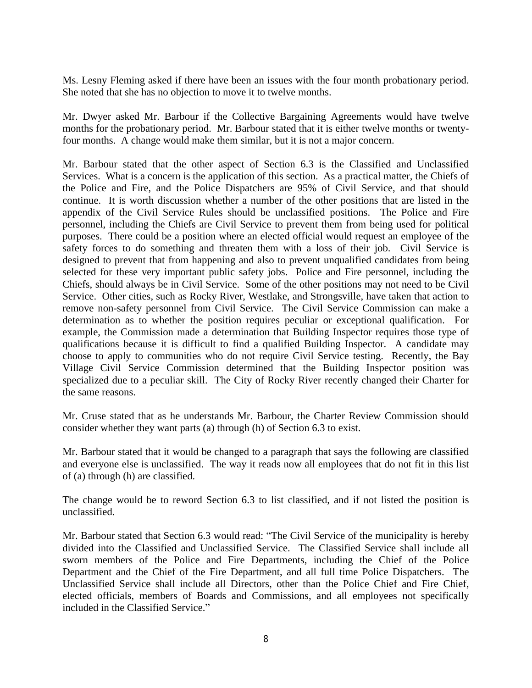Ms. Lesny Fleming asked if there have been an issues with the four month probationary period. She noted that she has no objection to move it to twelve months.

Mr. Dwyer asked Mr. Barbour if the Collective Bargaining Agreements would have twelve months for the probationary period. Mr. Barbour stated that it is either twelve months or twentyfour months. A change would make them similar, but it is not a major concern.

Mr. Barbour stated that the other aspect of Section 6.3 is the Classified and Unclassified Services. What is a concern is the application of this section. As a practical matter, the Chiefs of the Police and Fire, and the Police Dispatchers are 95% of Civil Service, and that should continue. It is worth discussion whether a number of the other positions that are listed in the appendix of the Civil Service Rules should be unclassified positions. The Police and Fire personnel, including the Chiefs are Civil Service to prevent them from being used for political purposes. There could be a position where an elected official would request an employee of the safety forces to do something and threaten them with a loss of their job. Civil Service is designed to prevent that from happening and also to prevent unqualified candidates from being selected for these very important public safety jobs. Police and Fire personnel, including the Chiefs, should always be in Civil Service. Some of the other positions may not need to be Civil Service. Other cities, such as Rocky River, Westlake, and Strongsville, have taken that action to remove non-safety personnel from Civil Service. The Civil Service Commission can make a determination as to whether the position requires peculiar or exceptional qualification. For example, the Commission made a determination that Building Inspector requires those type of qualifications because it is difficult to find a qualified Building Inspector. A candidate may choose to apply to communities who do not require Civil Service testing. Recently, the Bay Village Civil Service Commission determined that the Building Inspector position was specialized due to a peculiar skill. The City of Rocky River recently changed their Charter for the same reasons.

Mr. Cruse stated that as he understands Mr. Barbour, the Charter Review Commission should consider whether they want parts (a) through (h) of Section 6.3 to exist.

Mr. Barbour stated that it would be changed to a paragraph that says the following are classified and everyone else is unclassified. The way it reads now all employees that do not fit in this list of (a) through (h) are classified.

The change would be to reword Section 6.3 to list classified, and if not listed the position is unclassified.

Mr. Barbour stated that Section 6.3 would read: "The Civil Service of the municipality is hereby divided into the Classified and Unclassified Service. The Classified Service shall include all sworn members of the Police and Fire Departments, including the Chief of the Police Department and the Chief of the Fire Department, and all full time Police Dispatchers. The Unclassified Service shall include all Directors, other than the Police Chief and Fire Chief, elected officials, members of Boards and Commissions, and all employees not specifically included in the Classified Service."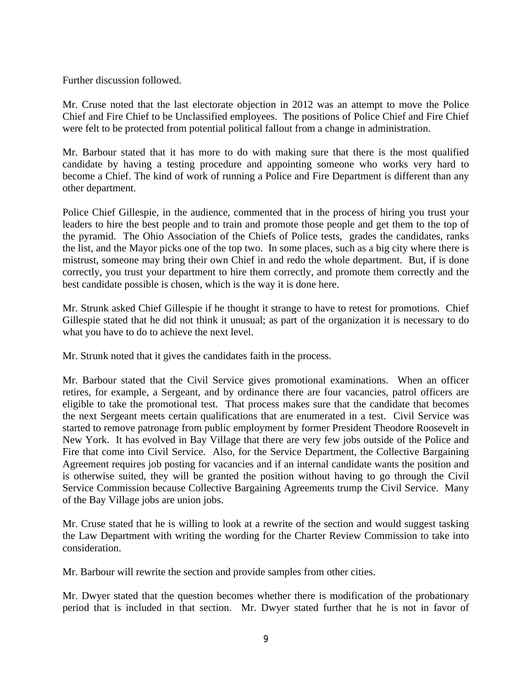Further discussion followed.

Mr. Cruse noted that the last electorate objection in 2012 was an attempt to move the Police Chief and Fire Chief to be Unclassified employees. The positions of Police Chief and Fire Chief were felt to be protected from potential political fallout from a change in administration.

Mr. Barbour stated that it has more to do with making sure that there is the most qualified candidate by having a testing procedure and appointing someone who works very hard to become a Chief. The kind of work of running a Police and Fire Department is different than any other department.

Police Chief Gillespie, in the audience, commented that in the process of hiring you trust your leaders to hire the best people and to train and promote those people and get them to the top of the pyramid. The Ohio Association of the Chiefs of Police tests, grades the candidates, ranks the list, and the Mayor picks one of the top two. In some places, such as a big city where there is mistrust, someone may bring their own Chief in and redo the whole department. But, if is done correctly, you trust your department to hire them correctly, and promote them correctly and the best candidate possible is chosen, which is the way it is done here.

Mr. Strunk asked Chief Gillespie if he thought it strange to have to retest for promotions. Chief Gillespie stated that he did not think it unusual; as part of the organization it is necessary to do what you have to do to achieve the next level.

Mr. Strunk noted that it gives the candidates faith in the process.

Mr. Barbour stated that the Civil Service gives promotional examinations. When an officer retires, for example, a Sergeant, and by ordinance there are four vacancies, patrol officers are eligible to take the promotional test. That process makes sure that the candidate that becomes the next Sergeant meets certain qualifications that are enumerated in a test. Civil Service was started to remove patronage from public employment by former President Theodore Roosevelt in New York. It has evolved in Bay Village that there are very few jobs outside of the Police and Fire that come into Civil Service. Also, for the Service Department, the Collective Bargaining Agreement requires job posting for vacancies and if an internal candidate wants the position and is otherwise suited, they will be granted the position without having to go through the Civil Service Commission because Collective Bargaining Agreements trump the Civil Service. Many of the Bay Village jobs are union jobs.

Mr. Cruse stated that he is willing to look at a rewrite of the section and would suggest tasking the Law Department with writing the wording for the Charter Review Commission to take into consideration.

Mr. Barbour will rewrite the section and provide samples from other cities.

Mr. Dwyer stated that the question becomes whether there is modification of the probationary period that is included in that section. Mr. Dwyer stated further that he is not in favor of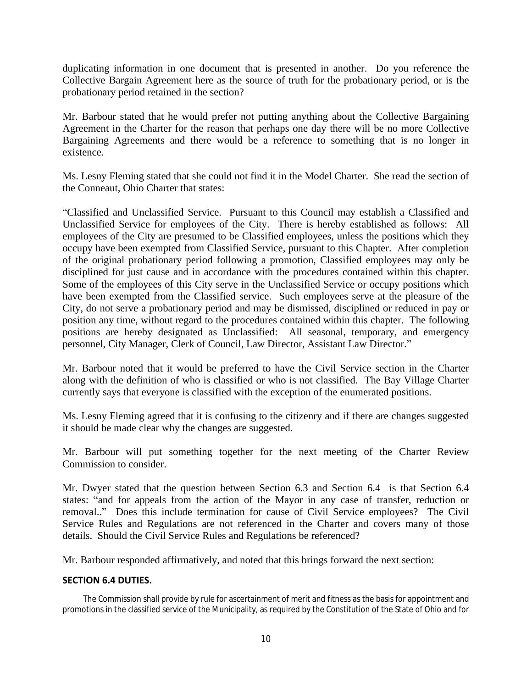duplicating information in one document that is presented in another. Do you reference the Collective Bargain Agreement here as the source of truth for the probationary period, or is the probationary period retained in the section?

Mr. Barbour stated that he would prefer not putting anything about the Collective Bargaining Agreement in the Charter for the reason that perhaps one day there will be no more Collective Bargaining Agreements and there would be a reference to something that is no longer in existence.

Ms. Lesny Fleming stated that she could not find it in the Model Charter. She read the section of the Conneaut, Ohio Charter that states:

"Classified and Unclassified Service. Pursuant to this Council may establish a Classified and Unclassified Service for employees of the City. There is hereby established as follows: All employees of the City are presumed to be Classified employees, unless the positions which they occupy have been exempted from Classified Service, pursuant to this Chapter. After completion of the original probationary period following a promotion, Classified employees may only be disciplined for just cause and in accordance with the procedures contained within this chapter. Some of the employees of this City serve in the Unclassified Service or occupy positions which have been exempted from the Classified service. Such employees serve at the pleasure of the City, do not serve a probationary period and may be dismissed, disciplined or reduced in pay or position any time, without regard to the procedures contained within this chapter. The following positions are hereby designated as Unclassified: All seasonal, temporary, and emergency personnel, City Manager, Clerk of Council, Law Director, Assistant Law Director."

Mr. Barbour noted that it would be preferred to have the Civil Service section in the Charter along with the definition of who is classified or who is not classified. The Bay Village Charter currently says that everyone is classified with the exception of the enumerated positions.

Ms. Lesny Fleming agreed that it is confusing to the citizenry and if there are changes suggested it should be made clear why the changes are suggested.

Mr. Barbour will put something together for the next meeting of the Charter Review Commission to consider.

Mr. Dwyer stated that the question between Section 6.3 and Section 6.4 is that Section 6.4 states: "and for appeals from the action of the Mayor in any case of transfer, reduction or removal.." Does this include termination for cause of Civil Service employees? The Civil Service Rules and Regulations are not referenced in the Charter and covers many of those details. Should the Civil Service Rules and Regulations be referenced?

Mr. Barbour responded affirmatively, and noted that this brings forward the next section:

## **SECTION 6.4 DUTIES.**

The Commission shall provide by rule for ascertainment of merit and fitness as the basis for appointment and promotions in the classified service of the Municipality, as required by the Constitution of the State of Ohio and for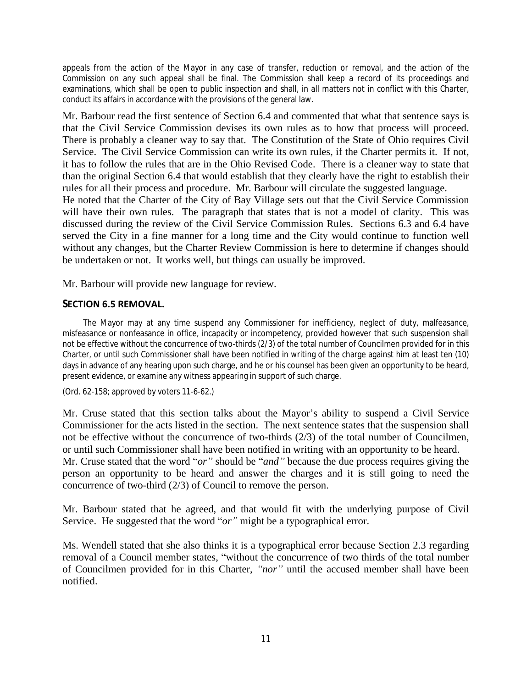appeals from the action of the Mayor in any case of transfer, reduction or removal, and the action of the Commission on any such appeal shall be final. The Commission shall keep a record of its proceedings and examinations, which shall be open to public inspection and shall, in all matters not in conflict with this Charter, conduct its affairs in accordance with the provisions of the general law.

Mr. Barbour read the first sentence of Section 6.4 and commented that what that sentence says is that the Civil Service Commission devises its own rules as to how that process will proceed. There is probably a cleaner way to say that. The Constitution of the State of Ohio requires Civil Service. The Civil Service Commission can write its own rules, if the Charter permits it. If not, it has to follow the rules that are in the Ohio Revised Code. There is a cleaner way to state that than the original Section 6.4 that would establish that they clearly have the right to establish their rules for all their process and procedure. Mr. Barbour will circulate the suggested language. He noted that the Charter of the City of Bay Village sets out that the Civil Service Commission will have their own rules. The paragraph that states that is not a model of clarity. This was discussed during the review of the Civil Service Commission Rules. Sections 6.3 and 6.4 have served the City in a fine manner for a long time and the City would continue to function well without any changes, but the Charter Review Commission is here to determine if changes should

Mr. Barbour will provide new language for review.

be undertaken or not. It works well, but things can usually be improved.

# **SECTION 6.5 REMOVAL.**

The Mayor may at any time suspend any Commissioner for inefficiency, neglect of duty, malfeasance, misfeasance or nonfeasance in office, incapacity or incompetency, provided however that such suspension shall not be effective without the concurrence of two-thirds (2/3) of the total number of Councilmen provided for in this Charter, or until such Commissioner shall have been notified in writing of the charge against him at least ten (10) days in advance of any hearing upon such charge, and he or his counsel has been given an opportunity to be heard, present evidence, or examine any witness appearing in support of such charge.

(Ord. 62-158; approved by voters 11-6-62.)

Mr. Cruse stated that this section talks about the Mayor's ability to suspend a Civil Service Commissioner for the acts listed in the section. The next sentence states that the suspension shall not be effective without the concurrence of two-thirds (2/3) of the total number of Councilmen, or until such Commissioner shall have been notified in writing with an opportunity to be heard. Mr. Cruse stated that the word "*or"* should be "*and"* because the due process requires giving the person an opportunity to be heard and answer the charges and it is still going to need the concurrence of two-third (2/3) of Council to remove the person.

Mr. Barbour stated that he agreed, and that would fit with the underlying purpose of Civil Service. He suggested that the word "*or*" might be a typographical error.

Ms. Wendell stated that she also thinks it is a typographical error because Section 2.3 regarding removal of a Council member states, "without the concurrence of two thirds of the total number of Councilmen provided for in this Charter, *"nor"* until the accused member shall have been notified.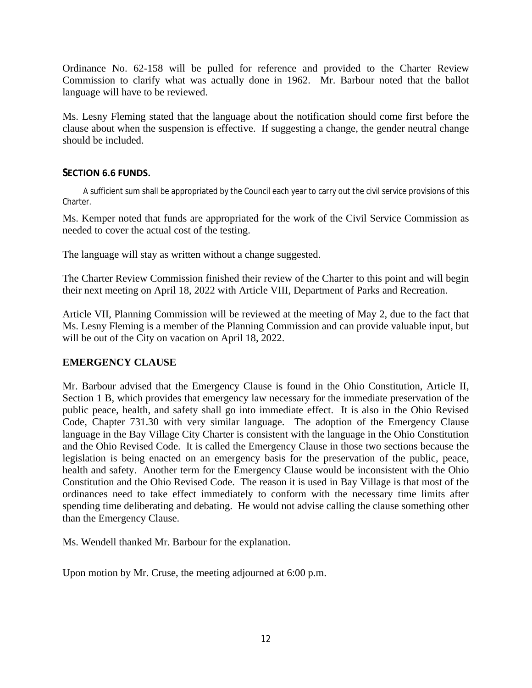Ordinance No. 62-158 will be pulled for reference and provided to the Charter Review Commission to clarify what was actually done in 1962. Mr. Barbour noted that the ballot language will have to be reviewed.

Ms. Lesny Fleming stated that the language about the notification should come first before the clause about when the suspension is effective. If suggesting a change, the gender neutral change should be included.

# **SECTION 6.6 FUNDS.**

A sufficient sum shall be appropriated by the Council each year to carry out the civil service provisions of this Charter.

Ms. Kemper noted that funds are appropriated for the work of the Civil Service Commission as needed to cover the actual cost of the testing.

The language will stay as written without a change suggested.

The Charter Review Commission finished their review of the Charter to this point and will begin their next meeting on April 18, 2022 with Article VIII, Department of Parks and Recreation.

Article VII, Planning Commission will be reviewed at the meeting of May 2, due to the fact that Ms. Lesny Fleming is a member of the Planning Commission and can provide valuable input, but will be out of the City on vacation on April 18, 2022.

# **EMERGENCY CLAUSE**

Mr. Barbour advised that the Emergency Clause is found in the Ohio Constitution, Article II, Section 1 B, which provides that emergency law necessary for the immediate preservation of the public peace, health, and safety shall go into immediate effect. It is also in the Ohio Revised Code, Chapter 731.30 with very similar language. The adoption of the Emergency Clause language in the Bay Village City Charter is consistent with the language in the Ohio Constitution and the Ohio Revised Code. It is called the Emergency Clause in those two sections because the legislation is being enacted on an emergency basis for the preservation of the public, peace, health and safety. Another term for the Emergency Clause would be inconsistent with the Ohio Constitution and the Ohio Revised Code. The reason it is used in Bay Village is that most of the ordinances need to take effect immediately to conform with the necessary time limits after spending time deliberating and debating. He would not advise calling the clause something other than the Emergency Clause.

Ms. Wendell thanked Mr. Barbour for the explanation.

Upon motion by Mr. Cruse, the meeting adjourned at 6:00 p.m.